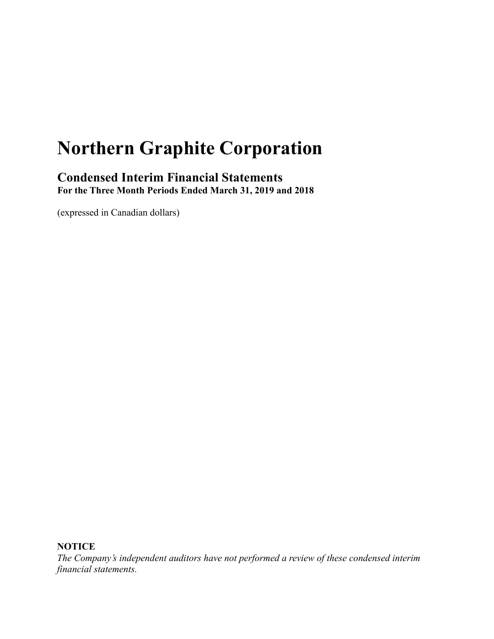# **Northern Graphite Corporation**

# **Condensed Interim Financial Statements For the Three Month Periods Ended March 31, 2019 and 2018**

(expressed in Canadian dollars)

**NOTICE**

*The Company's independent auditors have not performed a review of these condensed interim financial statements.*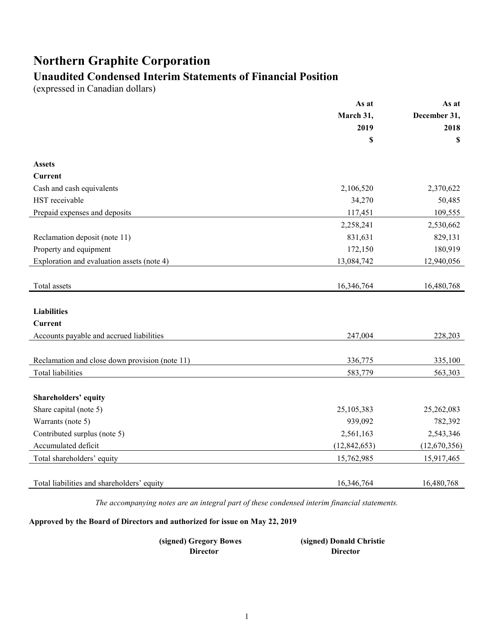# **Northern Graphite Corporation**

# **Unaudited Condensed Interim Statements of Financial Position**

(expressed in Canadian dollars)

|                                                | As at          | As at        |              |  |
|------------------------------------------------|----------------|--------------|--------------|--|
|                                                | March 31,      |              | December 31, |  |
|                                                | 2019           | 2018         |              |  |
|                                                | \$             | \$           |              |  |
| <b>Assets</b>                                  |                |              |              |  |
| Current                                        |                |              |              |  |
| Cash and cash equivalents                      | 2,106,520      | 2,370,622    |              |  |
| HST receivable                                 | 34,270         | 50,485       |              |  |
| Prepaid expenses and deposits                  | 117,451        | 109,555      |              |  |
|                                                | 2,258,241      | 2,530,662    |              |  |
| Reclamation deposit (note 11)                  | 831,631        | 829,131      |              |  |
| Property and equipment                         | 172,150        | 180,919      |              |  |
| Exploration and evaluation assets (note 4)     | 13,084,742     | 12,940,056   |              |  |
|                                                |                |              |              |  |
| Total assets                                   | 16,346,764     | 16,480,768   |              |  |
|                                                |                |              |              |  |
| <b>Liabilities</b>                             |                |              |              |  |
| <b>Current</b>                                 |                |              |              |  |
| Accounts payable and accrued liabilities       | 247,004        | 228,203      |              |  |
|                                                |                |              |              |  |
| Reclamation and close down provision (note 11) | 336,775        | 335,100      |              |  |
| <b>Total liabilities</b>                       | 583,779        | 563,303      |              |  |
|                                                |                |              |              |  |
| Shareholders' equity                           |                |              |              |  |
| Share capital (note 5)                         | 25,105,383     | 25,262,083   |              |  |
| Warrants (note 5)                              | 939,092        | 782,392      |              |  |
| Contributed surplus (note 5)                   | 2,561,163      | 2,543,346    |              |  |
| Accumulated deficit                            | (12, 842, 653) | (12,670,356) |              |  |
| Total shareholders' equity                     | 15,762,985     | 15,917,465   |              |  |
|                                                |                |              |              |  |
| Total liabilities and shareholders' equity     | 16,346,764     | 16,480,768   |              |  |

*The accompanying notes are an integral part of these condensed interim financial statements.*

**Approved by the Board of Directors and authorized for issue on May 22, 2019**

**(signed) Gregory Bowes (signed) Donald Christie Director**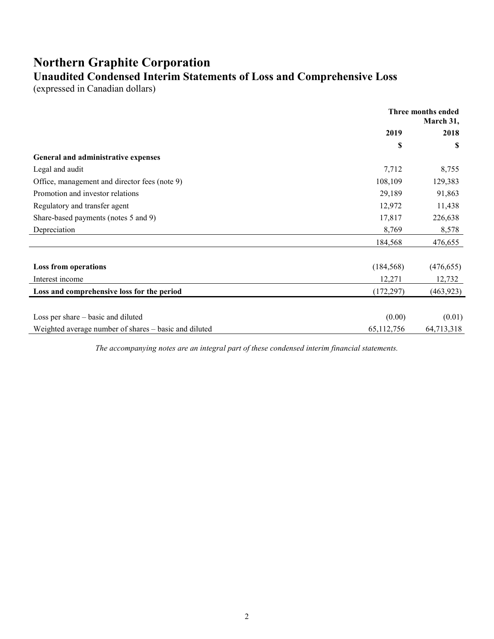# **Northern Graphite Corporation Unaudited Condensed Interim Statements of Loss and Comprehensive Loss**

(expressed in Canadian dollars)

|                                                       | Three months ended<br>March 31, |            |
|-------------------------------------------------------|---------------------------------|------------|
|                                                       | 2019                            | 2018       |
|                                                       | S                               | S          |
| General and administrative expenses                   |                                 |            |
| Legal and audit                                       | 7,712                           | 8,755      |
| Office, management and director fees (note 9)         | 108,109                         | 129,383    |
| Promotion and investor relations                      | 29,189                          | 91,863     |
| Regulatory and transfer agent                         | 12,972                          | 11,438     |
| Share-based payments (notes 5 and 9)                  | 17,817                          | 226,638    |
| Depreciation                                          | 8,769                           | 8,578      |
|                                                       | 184,568                         | 476,655    |
| <b>Loss from operations</b>                           | (184, 568)                      | (476, 655) |
| Interest income                                       | 12,271                          | 12,732     |
| Loss and comprehensive loss for the period            | (172, 297)                      | (463, 923) |
|                                                       |                                 |            |
| Loss per share – basic and diluted                    | (0.00)                          | (0.01)     |
| Weighted average number of shares – basic and diluted | 65,112,756                      | 64,713,318 |

*The accompanying notes are an integral part of these condensed interim financial statements.*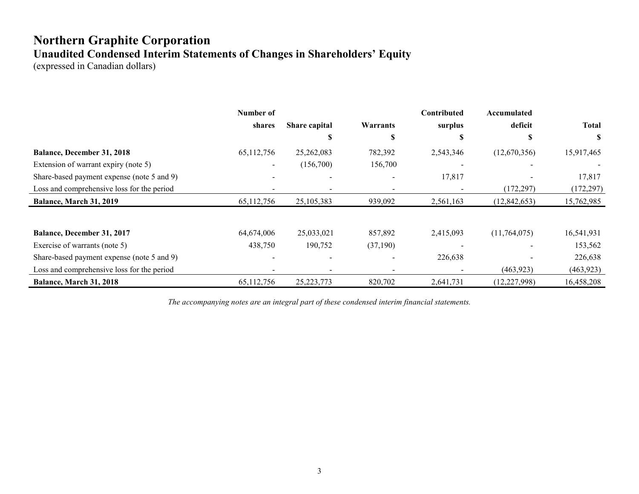# **Northern Graphite Corporation Unaudited Condensed Interim Statements of Changes in Shareholders' Equity**

(expressed in Canadian dollars)

|                                            | Number of  |                          |          | Contributed | Accumulated    |              |
|--------------------------------------------|------------|--------------------------|----------|-------------|----------------|--------------|
|                                            | shares     | Share capital            | Warrants | surplus     | deficit        | <b>Total</b> |
|                                            |            | Э                        | S        | S           |                | S            |
| <b>Balance, December 31, 2018</b>          | 65,112,756 | 25,262,083               | 782,392  | 2,543,346   | (12,670,356)   | 15,917,465   |
| Extension of warrant expiry (note 5)       |            | (156,700)                | 156,700  |             |                |              |
| Share-based payment expense (note 5 and 9) |            |                          |          | 17,817      |                | 17,817       |
| Loss and comprehensive loss for the period |            |                          |          |             | (172, 297)     | (172, 297)   |
| Balance, March 31, 2019                    | 65,112,756 | 25,105,383               | 939,092  | 2,561,163   | (12, 842, 653) | 15,762,985   |
|                                            |            |                          |          |             |                |              |
| <b>Balance, December 31, 2017</b>          | 64,674,006 | 25,033,021               | 857,892  | 2,415,093   | (11,764,075)   | 16,541,931   |
| Exercise of warrants (note 5)              | 438,750    | 190,752                  | (37,190) |             |                | 153,562      |
| Share-based payment expense (note 5 and 9) |            | $\overline{\phantom{a}}$ |          | 226,638     |                | 226,638      |
| Loss and comprehensive loss for the period |            |                          |          |             | (463,923)      | (463, 923)   |
| Balance, March 31, 2018                    | 65,112,756 | 25, 223, 773             | 820,702  | 2,641,731   | (12, 227, 998) | 16,458,208   |

*The accompanying notes are an integral part of these condensed interim financial statements.*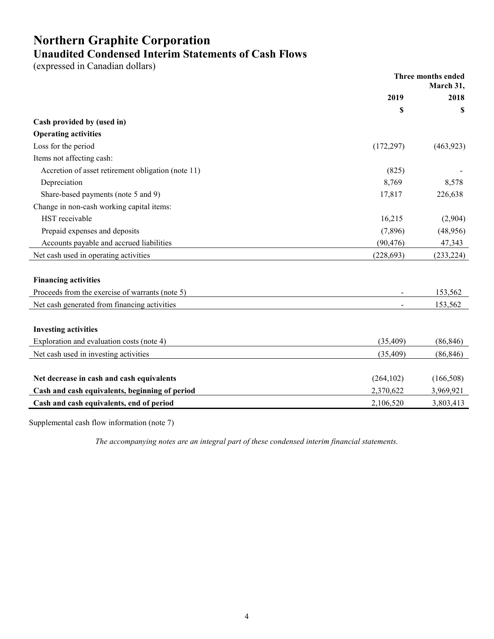# **Northern Graphite Corporation Unaudited Condensed Interim Statements of Cash Flows**

(expressed in Canadian dollars)

|                                                    | Three months ended<br>March 31, |            |
|----------------------------------------------------|---------------------------------|------------|
|                                                    | 2019                            | 2018       |
|                                                    | \$                              | \$         |
| Cash provided by (used in)                         |                                 |            |
| <b>Operating activities</b>                        |                                 |            |
| Loss for the period                                | (172, 297)                      | (463,923)  |
| Items not affecting cash:                          |                                 |            |
| Accretion of asset retirement obligation (note 11) | (825)                           |            |
| Depreciation                                       | 8,769                           | 8,578      |
| Share-based payments (note 5 and 9)                | 17,817                          | 226,638    |
| Change in non-cash working capital items:          |                                 |            |
| HST receivable                                     | 16,215                          | (2,904)    |
| Prepaid expenses and deposits                      | (7,896)                         | (48,956)   |
| Accounts payable and accrued liabilities           | (90, 476)                       | 47,343     |
| Net cash used in operating activities              | (228, 693)                      | (233, 224) |
|                                                    |                                 |            |
| <b>Financing activities</b>                        |                                 |            |
| Proceeds from the exercise of warrants (note 5)    |                                 | 153,562    |
| Net cash generated from financing activities       |                                 | 153,562    |
|                                                    |                                 |            |
| <b>Investing activities</b>                        |                                 |            |
| Exploration and evaluation costs (note 4)          | (35, 409)                       | (86, 846)  |
| Net cash used in investing activities              | (35, 409)                       | (86, 846)  |
|                                                    |                                 |            |
| Net decrease in cash and cash equivalents          | (264, 102)                      | (166, 508) |
| Cash and cash equivalents, beginning of period     | 2,370,622                       | 3,969,921  |
| Cash and cash equivalents, end of period           | 2,106,520                       | 3,803,413  |

Supplemental cash flow information (note 7)

*The accompanying notes are an integral part of these condensed interim financial statements.*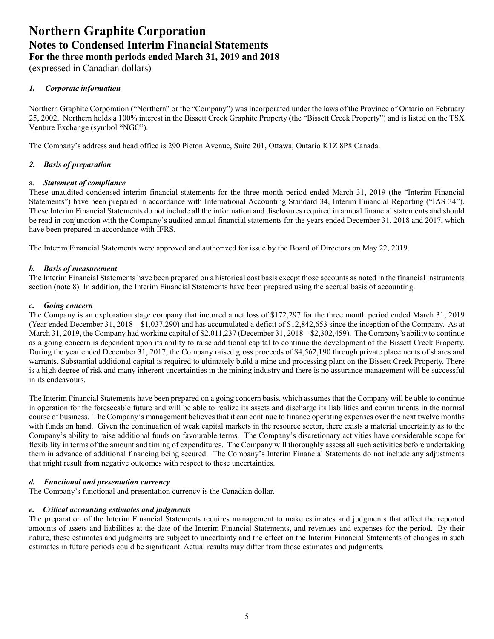(expressed in Canadian dollars)

# *1. Corporate information*

Northern Graphite Corporation ("Northern" or the "Company") was incorporated under the laws of the Province of Ontario on February 25, 2002. Northern holds a 100% interest in the Bissett Creek Graphite Property (the "Bissett Creek Property") and is listed on the TSX Venture Exchange (symbol "NGC").

The Company's address and head office is 290 Picton Avenue, Suite 201, Ottawa, Ontario K1Z 8P8 Canada.

# *2. Basis of preparation*

# a. *Statement of compliance*

These unaudited condensed interim financial statements for the three month period ended March 31, 2019 (the "Interim Financial Statements") have been prepared in accordance with International Accounting Standard 34, Interim Financial Reporting ("IAS 34"). These Interim Financial Statements do not include all the information and disclosures required in annual financial statements and should be read in conjunction with the Company's audited annual financial statements for the years ended December 31, 2018 and 2017, which have been prepared in accordance with IFRS.

The Interim Financial Statements were approved and authorized for issue by the Board of Directors on May 22, 2019.

# *b. Basis of measurement*

The Interim Financial Statements have been prepared on a historical cost basis except those accounts as noted in the financial instruments section (note 8). In addition, the Interim Financial Statements have been prepared using the accrual basis of accounting.

## *c. Going concern*

The Company is an exploration stage company that incurred a net loss of \$172,297 for the three month period ended March 31, 2019 (Year ended December 31, 2018 – \$1,037,290) and has accumulated a deficit of \$12,842,653 since the inception of the Company. As at March 31, 2019, the Company had working capital of \$2,011,237 (December 31, 2018 – \$2,302,459). The Company's ability to continue as a going concern is dependent upon its ability to raise additional capital to continue the development of the Bissett Creek Property. During the year ended December 31, 2017, the Company raised gross proceeds of \$4,562,190 through private placements of shares and warrants. Substantial additional capital is required to ultimately build a mine and processing plant on the Bissett Creek Property. There is a high degree of risk and many inherent uncertainties in the mining industry and there is no assurance management will be successful in its endeavours.

The Interim Financial Statements have been prepared on a going concern basis, which assumes that the Company will be able to continue in operation for the foreseeable future and will be able to realize its assets and discharge its liabilities and commitments in the normal course of business. The Company's management believes that it can continue to finance operating expenses over the next twelve months with funds on hand. Given the continuation of weak capital markets in the resource sector, there exists a material uncertainty as to the Company's ability to raise additional funds on favourable terms. The Company's discretionary activities have considerable scope for flexibility in terms of the amount and timing of expenditures. The Company will thoroughly assess all such activities before undertaking them in advance of additional financing being secured. The Company's Interim Financial Statements do not include any adjustments that might result from negative outcomes with respect to these uncertainties.

## *d. Functional and presentation currency*

The Company's functional and presentation currency is the Canadian dollar.

## *e. Critical accounting estimates and judgments*

The preparation of the Interim Financial Statements requires management to make estimates and judgments that affect the reported amounts of assets and liabilities at the date of the Interim Financial Statements, and revenues and expenses for the period. By their nature, these estimates and judgments are subject to uncertainty and the effect on the Interim Financial Statements of changes in such estimates in future periods could be significant. Actual results may differ from those estimates and judgments.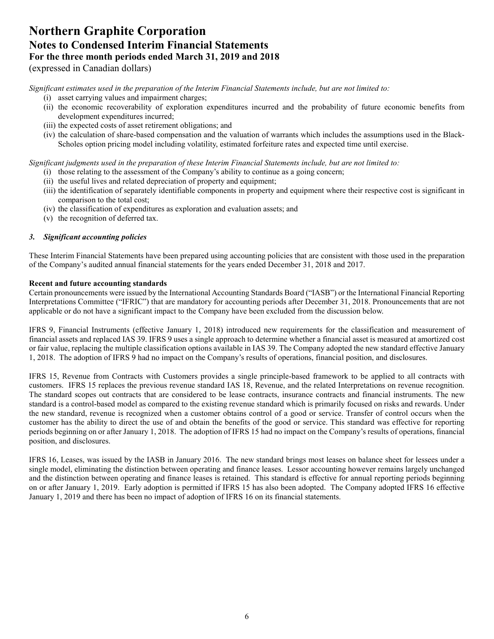(expressed in Canadian dollars)

*Significant estimates used in the preparation of the Interim Financial Statements include, but are not limited to:* 

- (i) asset carrying values and impairment charges;
- (ii) the economic recoverability of exploration expenditures incurred and the probability of future economic benefits from development expenditures incurred;
- (iii) the expected costs of asset retirement obligations; and
- (iv) the calculation of share-based compensation and the valuation of warrants which includes the assumptions used in the Black-Scholes option pricing model including volatility, estimated forfeiture rates and expected time until exercise.

*Significant judgments used in the preparation of these Interim Financial Statements include, but are not limited to:* 

- (i) those relating to the assessment of the Company's ability to continue as a going concern;
- (ii) the useful lives and related depreciation of property and equipment;
- (iii) the identification of separately identifiable components in property and equipment where their respective cost is significant in comparison to the total cost;
- (iv) the classification of expenditures as exploration and evaluation assets; and
- (v) the recognition of deferred tax.

# *3. Significant accounting policies*

These Interim Financial Statements have been prepared using accounting policies that are consistent with those used in the preparation of the Company's audited annual financial statements for the years ended December 31, 2018 and 2017.

## **Recent and future accounting standards**

Certain pronouncements were issued by the International Accounting Standards Board ("IASB") or the International Financial Reporting Interpretations Committee ("IFRIC") that are mandatory for accounting periods after December 31, 2018. Pronouncements that are not applicable or do not have a significant impact to the Company have been excluded from the discussion below.

IFRS 9, Financial Instruments (effective January 1, 2018) introduced new requirements for the classification and measurement of financial assets and replaced IAS 39. IFRS 9 uses a single approach to determine whether a financial asset is measured at amortized cost or fair value, replacing the multiple classification options available in IAS 39. The Company adopted the new standard effective January 1, 2018. The adoption of IFRS 9 had no impact on the Company's results of operations, financial position, and disclosures.

IFRS 15, Revenue from Contracts with Customers provides a single principle-based framework to be applied to all contracts with customers. IFRS 15 replaces the previous revenue standard IAS 18, Revenue, and the related Interpretations on revenue recognition. The standard scopes out contracts that are considered to be lease contracts, insurance contracts and financial instruments. The new standard is a control-based model as compared to the existing revenue standard which is primarily focused on risks and rewards. Under the new standard, revenue is recognized when a customer obtains control of a good or service. Transfer of control occurs when the customer has the ability to direct the use of and obtain the benefits of the good or service. This standard was effective for reporting periods beginning on or after January 1, 2018. The adoption of IFRS 15 had no impact on the Company's results of operations, financial position, and disclosures.

IFRS 16, Leases, was issued by the IASB in January 2016. The new standard brings most leases on balance sheet for lessees under a single model, eliminating the distinction between operating and finance leases. Lessor accounting however remains largely unchanged and the distinction between operating and finance leases is retained. This standard is effective for annual reporting periods beginning on or after January 1, 2019. Early adoption is permitted if IFRS 15 has also been adopted. The Company adopted IFRS 16 effective January 1, 2019 and there has been no impact of adoption of IFRS 16 on its financial statements.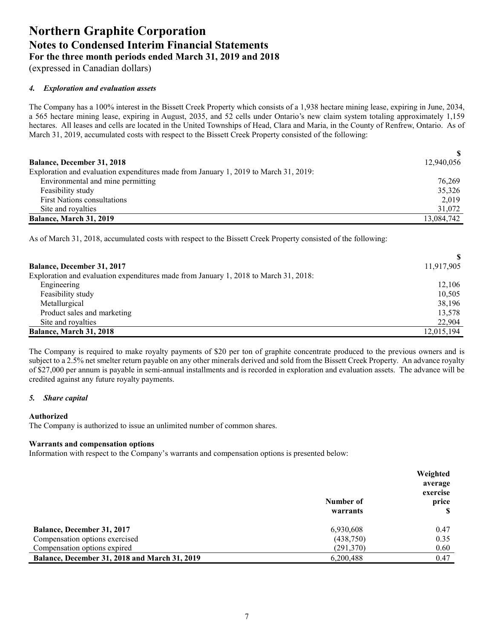(expressed in Canadian dollars)

# *4. Exploration and evaluation assets*

The Company has a 100% interest in the Bissett Creek Property which consists of a 1,938 hectare mining lease, expiring in June, 2034, a 565 hectare mining lease, expiring in August, 2035, and 52 cells under Ontario's new claim system totaling approximately 1,159 hectares. All leases and cells are located in the United Townships of Head, Clara and Maria, in the County of Renfrew, Ontario. As of March 31, 2019, accumulated costs with respect to the Bissett Creek Property consisted of the following:

|                                                                                      | <sup>\$</sup> |
|--------------------------------------------------------------------------------------|---------------|
| <b>Balance, December 31, 2018</b>                                                    | 12,940,056    |
| Exploration and evaluation expenditures made from January 1, 2019 to March 31, 2019: |               |
| Environmental and mine permitting                                                    | 76,269        |
| Feasibility study                                                                    | 35,326        |
| <b>First Nations consultations</b>                                                   | 2,019         |
| Site and royalties                                                                   | 31,072        |
| Balance, March 31, 2019                                                              | 13.084.742    |

As of March 31, 2018, accumulated costs with respect to the Bissett Creek Property consisted of the following:

| <b>Balance, December 31, 2017</b>                                                    | 11,917,905 |
|--------------------------------------------------------------------------------------|------------|
| Exploration and evaluation expenditures made from January 1, 2018 to March 31, 2018: |            |
| Engineering                                                                          | 12,106     |
| Feasibility study                                                                    | 10,505     |
| Metallurgical                                                                        | 38,196     |
| Product sales and marketing                                                          | 13,578     |
| Site and royalties                                                                   | 22,904     |
| Balance, March 31, 2018                                                              | 12,015,194 |

The Company is required to make royalty payments of \$20 per ton of graphite concentrate produced to the previous owners and is subject to a 2.5% net smelter return payable on any other minerals derived and sold from the Bissett Creek Property. An advance royalty of \$27,000 per annum is payable in semi-annual installments and is recorded in exploration and evaluation assets. The advance will be credited against any future royalty payments.

## *5. Share capital*

## **Authorized**

The Company is authorized to issue an unlimited number of common shares.

## **Warrants and compensation options**

Information with respect to the Company's warrants and compensation options is presented below:

|                                                      |           | Weighted |
|------------------------------------------------------|-----------|----------|
|                                                      |           | average  |
|                                                      |           | exercise |
|                                                      | Number of | price    |
|                                                      | warrants  |          |
| Balance, December 31, 2017                           | 6,930,608 | 0.47     |
| Compensation options exercised                       | (438,750) | 0.35     |
| Compensation options expired                         | (291,370) | 0.60     |
| <b>Balance, December 31, 2018 and March 31, 2019</b> | 6,200,488 | 0.47     |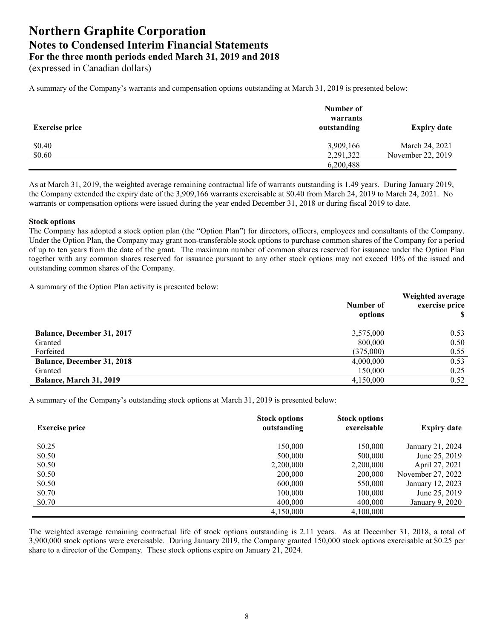(expressed in Canadian dollars)

A summary of the Company's warrants and compensation options outstanding at March 31, 2019 is presented below:

| <b>Exercise price</b> | Number of<br>warrants<br>outstanding | <b>Expiry date</b> |
|-----------------------|--------------------------------------|--------------------|
| \$0.40                | 3,909,166                            | March 24, 2021     |
| \$0.60                | 2,291,322                            | November 22, 2019  |
|                       | 6,200,488                            |                    |

As at March 31, 2019, the weighted average remaining contractual life of warrants outstanding is 1.49 years. During January 2019, the Company extended the expiry date of the 3,909,166 warrants exercisable at \$0.40 from March 24, 2019 to March 24, 2021. No warrants or compensation options were issued during the year ended December 31, 2018 or during fiscal 2019 to date.

#### **Stock options**

The Company has adopted a stock option plan (the "Option Plan") for directors, officers, employees and consultants of the Company. Under the Option Plan, the Company may grant non-transferable stock options to purchase common shares of the Company for a period of up to ten years from the date of the grant. The maximum number of common shares reserved for issuance under the Option Plan together with any common shares reserved for issuance pursuant to any other stock options may not exceed 10% of the issued and outstanding common shares of the Company.

A summary of the Option Plan activity is presented below:

|                                   | Number of<br>options | Weighted average<br>exercise price |
|-----------------------------------|----------------------|------------------------------------|
| <b>Balance, December 31, 2017</b> | 3,575,000            | 0.53                               |
| Granted                           | 800,000              | 0.50                               |
| Forfeited                         | (375,000)            | 0.55                               |
| <b>Balance, December 31, 2018</b> | 4,000,000            | 0.53                               |
| Granted                           | 150,000              | 0.25                               |
| Balance, March 31, 2019           | 4,150,000            | 0.52                               |

A summary of the Company's outstanding stock options at March 31, 2019 is presented below:

| <b>Exercise price</b> | <b>Stock options</b><br>outstanding | <b>Stock options</b><br>exercisable | <b>Expiry date</b> |
|-----------------------|-------------------------------------|-------------------------------------|--------------------|
| \$0.25                | 150,000                             | 150.000                             | January 21, 2024   |
| \$0.50                | 500,000                             | 500,000                             | June 25, 2019      |
| \$0.50                | 2,200,000                           | 2,200,000                           | April 27, 2021     |
| \$0.50                | 200,000                             | 200,000                             | November 27, 2022  |
| \$0.50                | 600,000                             | 550,000                             | January 12, 2023   |
| \$0.70                | 100,000                             | 100,000                             | June 25, 2019      |
| \$0.70                | 400,000                             | 400,000                             | January 9, 2020    |
|                       | 4,150,000                           | 4,100,000                           |                    |

The weighted average remaining contractual life of stock options outstanding is 2.11 years. As at December 31, 2018, a total of 3,900,000 stock options were exercisable. During January 2019, the Company granted 150,000 stock options exercisable at \$0.25 per share to a director of the Company. These stock options expire on January 21, 2024.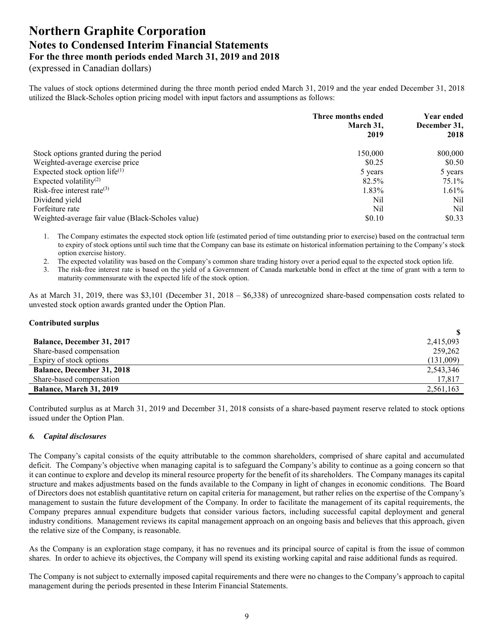(expressed in Canadian dollars)

The values of stock options determined during the three month period ended March 31, 2019 and the year ended December 31, 2018 utilized the Black-Scholes option pricing model with input factors and assumptions as follows:

|                                                   | Three months ended<br>March 31,<br>2019 | <b>Year ended</b><br>December 31,<br>2018 |
|---------------------------------------------------|-----------------------------------------|-------------------------------------------|
| Stock options granted during the period           | 150,000                                 | 800,000                                   |
| Weighted-average exercise price                   | \$0.25                                  | \$0.50                                    |
| Expected stock option life $(1)$                  | 5 years                                 | 5 years                                   |
| Expected volatility <sup>(2)</sup>                | 82.5%                                   | 75.1%                                     |
| Risk-free interest rate $(3)$                     | 1.83%                                   | 1.61%                                     |
| Dividend yield                                    | Nil                                     | Nil                                       |
| Forfeiture rate                                   | Nil                                     | Nil                                       |
| Weighted-average fair value (Black-Scholes value) | \$0.10                                  | \$0.33                                    |

1. The Company estimates the expected stock option life (estimated period of time outstanding prior to exercise) based on the contractual term to expiry of stock options until such time that the Company can base its estimate on historical information pertaining to the Company's stock option exercise history.

2. The expected volatility was based on the Company's common share trading history over a period equal to the expected stock option life.

3. The risk-free interest rate is based on the yield of a Government of Canada marketable bond in effect at the time of grant with a term to maturity commensurate with the expected life of the stock option.

As at March 31, 2019, there was \$3,101 (December 31, 2018 – \$6,338) of unrecognized share-based compensation costs related to unvested stock option awards granted under the Option Plan.

#### **Contributed surplus**

| <b>Balance, December 31, 2017</b> | 2,415,093 |
|-----------------------------------|-----------|
| Share-based compensation          | 259,262   |
| Expiry of stock options           | (131,009) |
| <b>Balance, December 31, 2018</b> | 2,543,346 |
| Share-based compensation          | 17,817    |
| Balance, March 31, 2019           | 2,561,163 |

Contributed surplus as at March 31, 2019 and December 31, 2018 consists of a share-based payment reserve related to stock options issued under the Option Plan.

## *6. Capital disclosures*

The Company's capital consists of the equity attributable to the common shareholders, comprised of share capital and accumulated deficit. The Company's objective when managing capital is to safeguard the Company's ability to continue as a going concern so that it can continue to explore and develop its mineral resource property for the benefit of its shareholders. The Company manages its capital structure and makes adjustments based on the funds available to the Company in light of changes in economic conditions. The Board of Directors does not establish quantitative return on capital criteria for management, but rather relies on the expertise of the Company's management to sustain the future development of the Company. In order to facilitate the management of its capital requirements, the Company prepares annual expenditure budgets that consider various factors, including successful capital deployment and general industry conditions. Management reviews its capital management approach on an ongoing basis and believes that this approach, given the relative size of the Company, is reasonable.

As the Company is an exploration stage company, it has no revenues and its principal source of capital is from the issue of common shares. In order to achieve its objectives, the Company will spend its existing working capital and raise additional funds as required.

The Company is not subject to externally imposed capital requirements and there were no changes to the Company's approach to capital management during the periods presented in these Interim Financial Statements.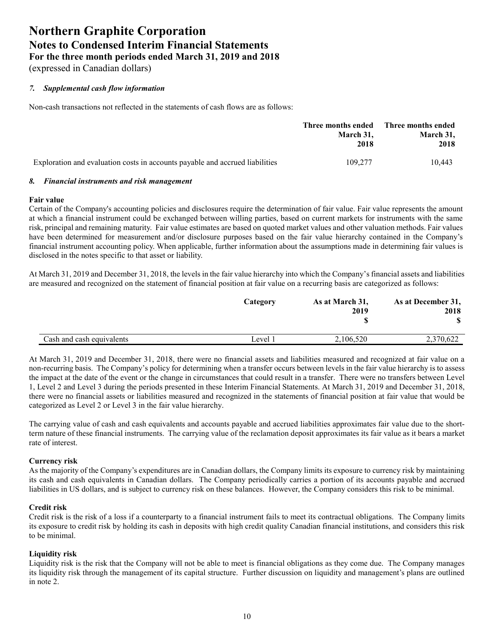(expressed in Canadian dollars)

# *7. Supplemental cash flow information*

Non-cash transactions not reflected in the statements of cash flows are as follows:

|                                                                              | Three months ended<br>March 31,<br>2018 | Three months ended<br>March 31,<br>2018 |
|------------------------------------------------------------------------------|-----------------------------------------|-----------------------------------------|
| Exploration and evaluation costs in accounts payable and accrued liabilities | 109.277                                 | 10.443                                  |

# *8. Financial instruments and risk management*

#### **Fair value**

Certain of the Company's accounting policies and disclosures require the determination of fair value. Fair value represents the amount at which a financial instrument could be exchanged between willing parties, based on current markets for instruments with the same risk, principal and remaining maturity. Fair value estimates are based on quoted market values and other valuation methods. Fair values have been determined for measurement and/or disclosure purposes based on the fair value hierarchy contained in the Company's financial instrument accounting policy. When applicable, further information about the assumptions made in determining fair values is disclosed in the notes specific to that asset or liability.

At March 31, 2019 and December 31, 2018, the levels in the fair value hierarchy into which the Company's financial assets and liabilities are measured and recognized on the statement of financial position at fair value on a recurring basis are categorized as follows:

|                           | Category | As at March 31,<br>2019 | As at December 31,<br>2018 |
|---------------------------|----------|-------------------------|----------------------------|
| Cash and cash equivalents | Level 1  | 2,106,520               | 2,370,622                  |

At March 31, 2019 and December 31, 2018, there were no financial assets and liabilities measured and recognized at fair value on a non-recurring basis. The Company's policy for determining when a transfer occurs between levels in the fair value hierarchy is to assess the impact at the date of the event or the change in circumstances that could result in a transfer. There were no transfers between Level 1, Level 2 and Level 3 during the periods presented in these Interim Financial Statements. At March 31, 2019 and December 31, 2018, there were no financial assets or liabilities measured and recognized in the statements of financial position at fair value that would be categorized as Level 2 or Level 3 in the fair value hierarchy.

The carrying value of cash and cash equivalents and accounts payable and accrued liabilities approximates fair value due to the shortterm nature of these financial instruments. The carrying value of the reclamation deposit approximates its fair value as it bears a market rate of interest.

## **Currency risk**

As the majority of the Company's expenditures are in Canadian dollars, the Company limits its exposure to currency risk by maintaining its cash and cash equivalents in Canadian dollars. The Company periodically carries a portion of its accounts payable and accrued liabilities in US dollars, and is subject to currency risk on these balances. However, the Company considers this risk to be minimal.

## **Credit risk**

Credit risk is the risk of a loss if a counterparty to a financial instrument fails to meet its contractual obligations. The Company limits its exposure to credit risk by holding its cash in deposits with high credit quality Canadian financial institutions, and considers this risk to be minimal.

## **Liquidity risk**

Liquidity risk is the risk that the Company will not be able to meet is financial obligations as they come due. The Company manages its liquidity risk through the management of its capital structure. Further discussion on liquidity and management's plans are outlined in note 2.